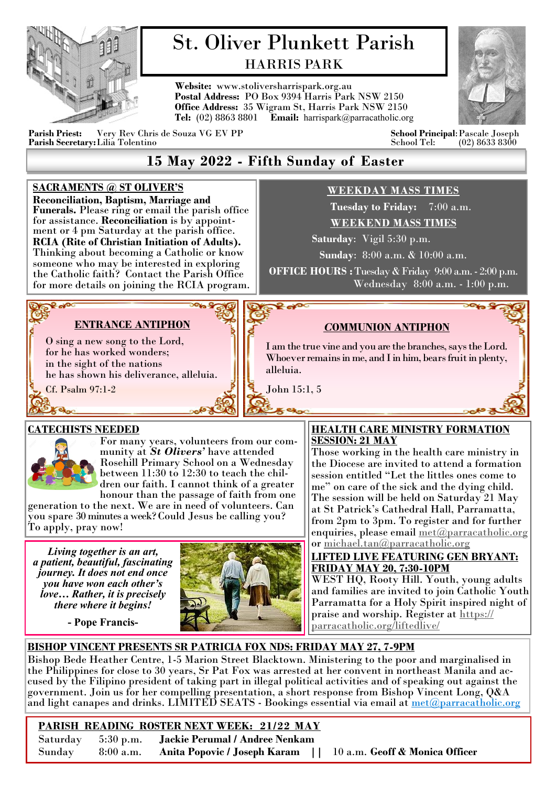

# St. Oliver Plunkett Parish HARRIS PARK

**Website:** www.stoliversharrispark.org.au **Postal Address:** PO Box 9394 Harris Park NSW 2150 **Office Address:** 35 Wigram St, Harris Park NSW 2150 **Tel:** (02) 8863 8801 **Email:** [harrispark@parracatholic.org](mailto:harrispark@parracatholic.org)



**Parish Priest:** Very Rev Chris de Souza VG EV PP **School Principal**:Pascale Joseph **Parish Secretary:** Lilia Tolentino

## **15 May 2022 - Fifth Sunday of Easter**

#### **SACRAMENTS @ ST OLIVER'S**

**Reconciliation, Baptism, Marriage and Funerals.** Please ring or email the parish office for assistance. **Reconciliation** is by appointment or 4 pm Saturday at the parish office. **RCIA (Rite of Christian Initiation of Adults).**  Thinking about becoming a Catholic or know someone who may be interested in exploring the Catholic faith? Contact the Parish Office for more details on joining the RCIA program.

## **WEEKDAY MASS TIMES**

 **Tuesday to Friday:** 7:00 a.m. **WEEKEND MASS TIMES**

 **Saturday**: Vigil 5:30 p.m.

**Sunday**: 8:00 a.m. & 10:00 a.m.

**OFFICE HOURS :** Tuesday & Friday 9:00 a.m. - 2:00 p.m. Wednesday 8:00 a.m. - 1:00 p.m.

*C***OMMUNION ANTIPHON** I am the true vine and you are the branches, says the Lord. Whoever remains in me, and I in him, bears fruit in plenty,

## **ENTRANCE ANTIPHON**

O sing a new song to the Lord, for he has worked wonders; in the sight of the nations he has shown his deliverance, alleluia.

Cf. Psalm 97:1-2

**PROPE** 

John 15:1, 5

alleluia.

#### **CATECHISTS NEEDED**



 $\mathbf{e}_{\infty}$ 

For many years, volunteers from our community at *St Olivers'* have attended Rosehill Primary School on a Wednesday between 11:30 to 12:30 to teach the children our faith. I cannot think of a greater honour than the passage of faith from one

generation to the next. We are in need of volunteers. Can you spare 30 minutes a week? Could Jesus be calling you? To apply, pray now!

*Living together is an art, a patient, beautiful, fascinating journey. It does not end once you have won each other's love… Rather, it is precisely there where it begins!*

**- Pope Francis-**

#### **HEALTH CARE MINISTRY FORMATION SESSION: 21 MAY**

Those working in the health care ministry in the Diocese are invited to attend a formation session entitled "Let the littles ones come to me" on care of the sick and the dying child. The session will be held on Saturday 21 May at St Patrick's Cathedral Hall, Parramatta, from 2pm to 3pm. To register and for further enquiries, please email [met@parracatholic.org](mailto:met@parracatholic.org) or [michael.tan@parracatholic.org](mailto:michael.tan@parracatholic.org)

**LIFTED LIVE FEATURING GEN BRYANT: FRIDAY MAY 20, 7:30-10PM**

WEST HQ, Rooty Hill. Youth, young adults and families are invited to join Catholic Youth Parramatta for a Holy Spirit inspired night of praise and worship. Register at [https://](https://parracatholic.org/liftedlive/) [parracatholic.org/liftedlive/](https://parracatholic.org/liftedlive/)

### **BISHOP VINCENT PRESENTS SR PATRICIA FOX NDS: FRIDAY MAY 27, 7-9PM**

Bishop Bede Heather Centre, 1-5 Marion Street Blacktown. Ministering to the poor and marginalised in the Philippines for close to 30 years, Sr Pat Fox was arrested at her convent in northeast Manila and accused by the Filipino president of taking part in illegal political activities and of speaking out against the government. Join us for her compelling presentation, a short response from Bishop Vincent Long, Q&A and light canapes and drinks. LIMITED SEATS - Bookings essential via email at  $\frac{1}{m \epsilon}$   $\frac{1}{(a)$  parracatholic.org

## **PARISH READING ROSTER NEXT WEEK: 21/22 MAY**

|        |                                                                           | Saturday 5:30 p.m. Jackie Perumal / Andree Nenkam |  |
|--------|---------------------------------------------------------------------------|---------------------------------------------------|--|
| Sunday | 8:00 a.m. Anita Popovic / Joseph Karam     10 a.m. Geoff & Monica Officer |                                                   |  |